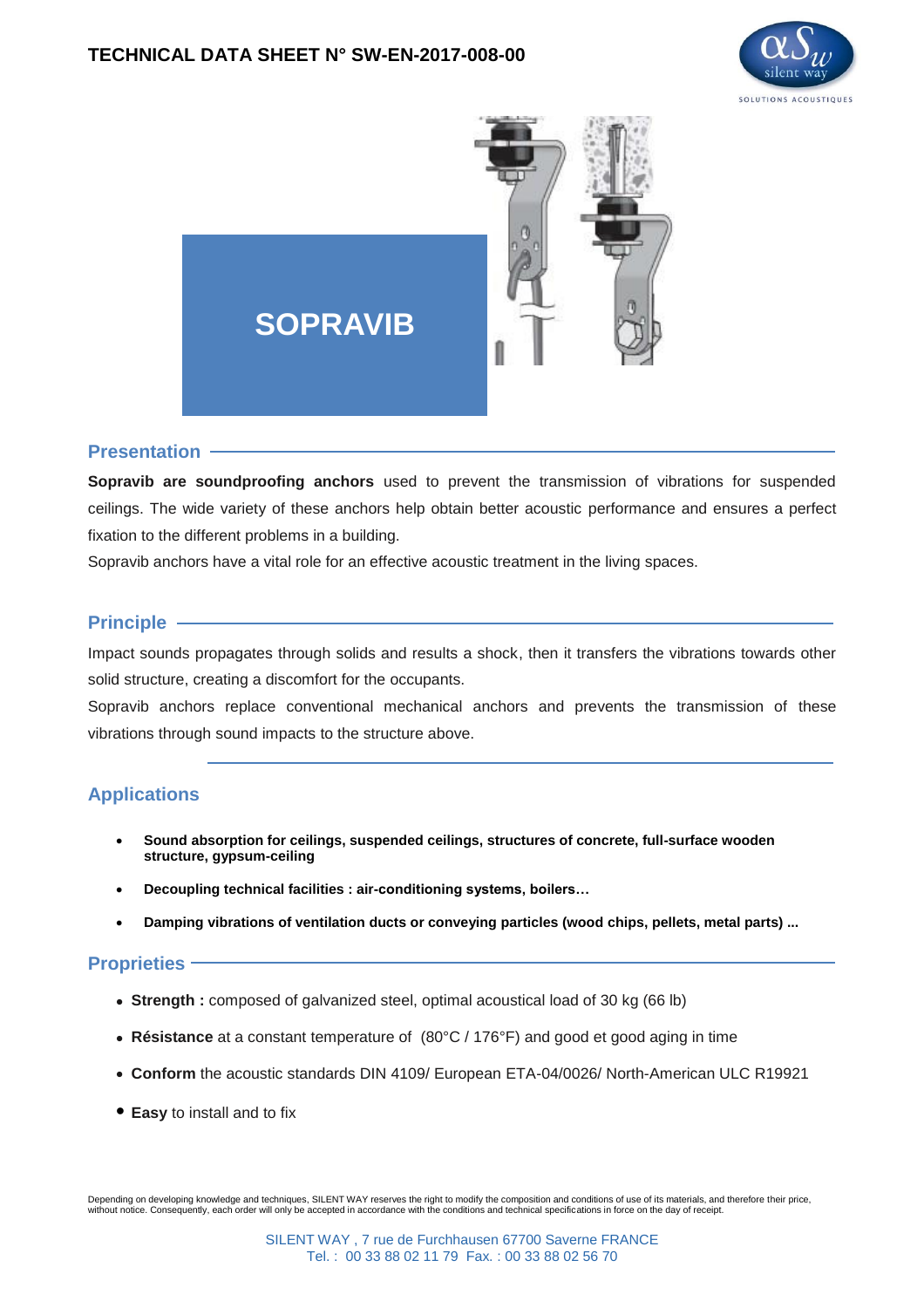



#### **Presentation**

**Sopravib are soundproofing anchors** used to prevent the transmission of vibrations for suspended ceilings. The wide variety of these anchors help obtain better acoustic performance and ensures a perfect fixation to the different problems in a building.

Sopravib anchors have a vital role for an effective acoustic treatment in the living spaces.

#### **Principle** -

Impact sounds propagates through solids and results a shock, then it transfers the vibrations towards other solid structure, creating a discomfort for the occupants.

Sopravib anchors replace conventional mechanical anchors and prevents the transmission of these vibrations through sound impacts to the structure above.

### **Applications**

- **Sound absorption for ceilings, suspended ceilings, structures of concrete, full-surface wooden structure, gypsum-ceiling**
- **Decoupling technical facilities : air-conditioning systems, boilers…**
- **Damping vibrations of ventilation ducts or conveying particles (wood chips, pellets, metal parts) ...**

#### **Proprieties**

- **Strength** : composed of galvanized steel, optimal acoustical load of 30 kg (66 lb)
- **Résistance** at a constant temperature of (80°C / 176°F) and good et good aging in time
- **Conform** the acoustic standards DIN 4109/ European ETA-04/0026/ North-American ULC R19921
- **Easy** to install and to fix

Depending on developing knowledge and techniques, SILENT WAY reserves the right to modify the composition and conditions of use of its materials, and therefore their price, without notice. Consequently, each order will only be accepted in accordance with the conditions and technical specifications in force on the day of receipt.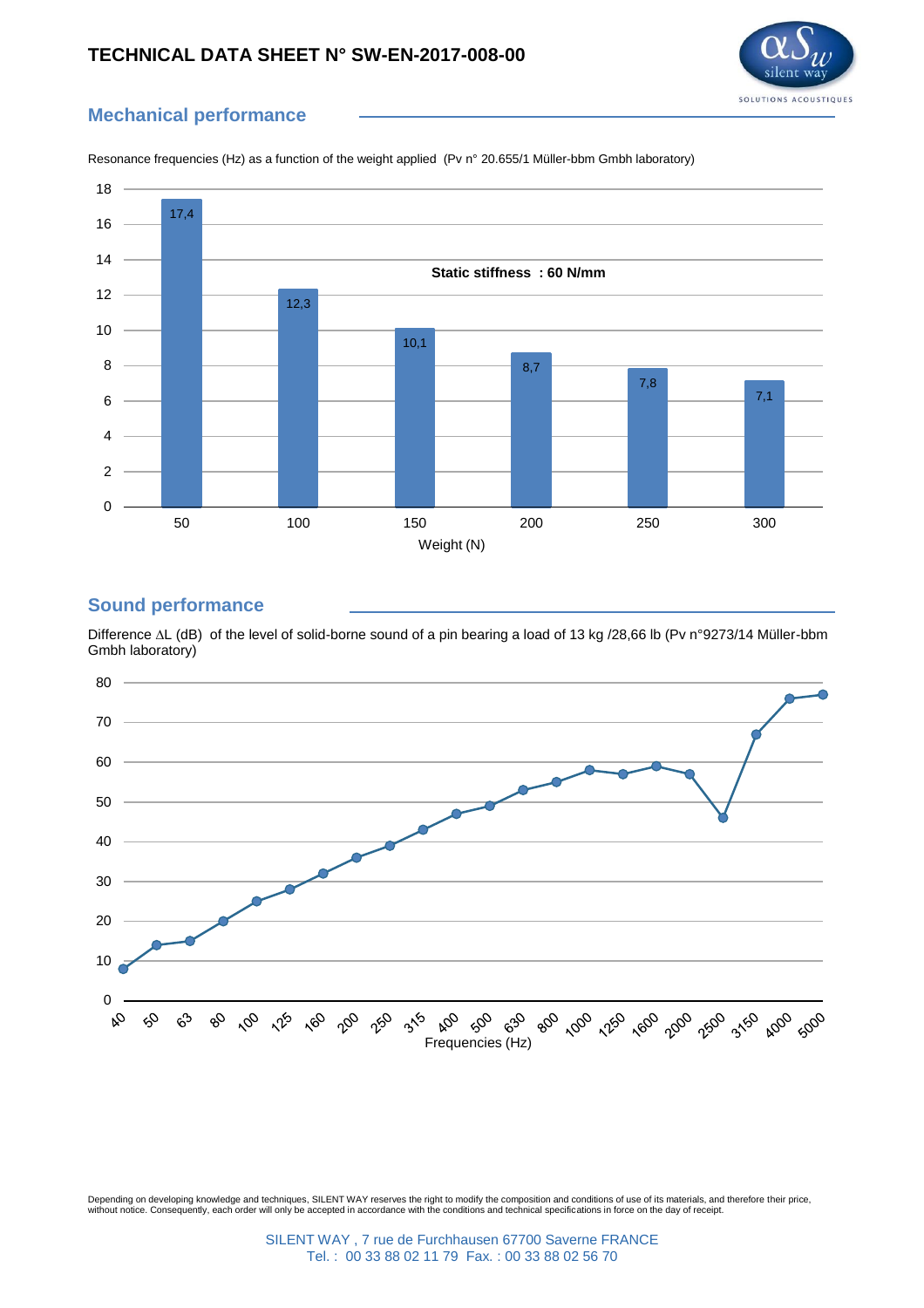### **TECHNICAL DATA SHEET N° SW-EN-2017-008-00**



# **Mechanical performance**



Resonance frequencies (Hz) as a function of the weight applied (Pv n° 20.655/1 Müller-bbm Gmbh laboratory)

## **Sound performance**

Difference ∆L (dB) of the level of solid-borne sound of a pin bearing a load of 13 kg /28,66 lb (Pv n°9273/14 Müller-bbm Gmbh laboratory)



Depending on developing knowledge and techniques, SILENT WAY reserves the right to modify the composition and conditions of use of its materials, and therefore their price,<br>without notice. Consequently, each order will onl